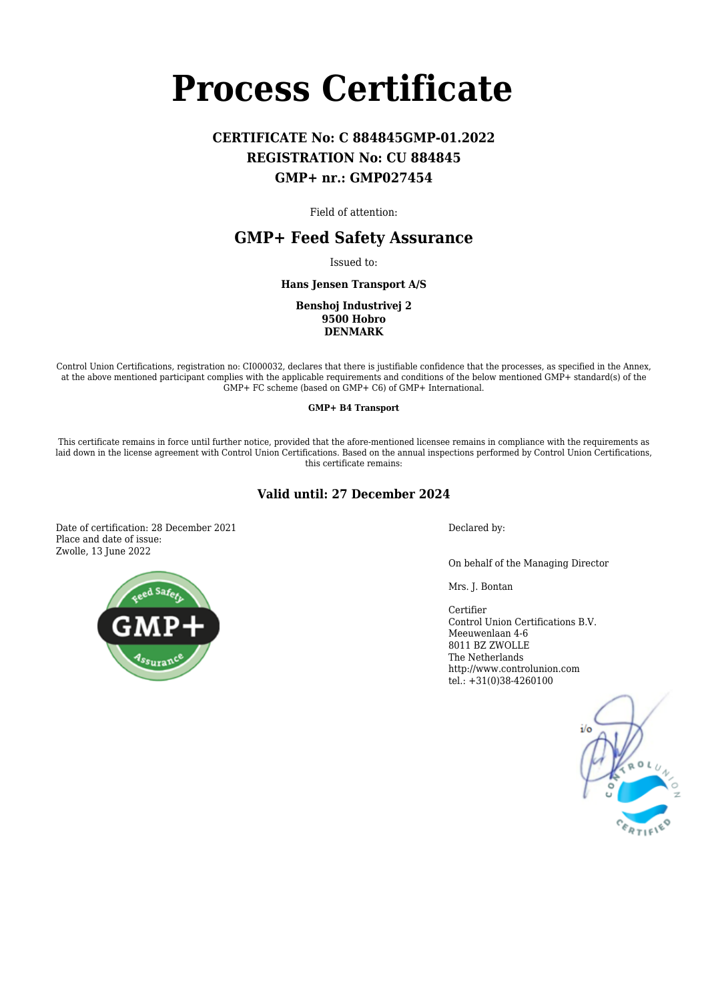# **Process Certificate**

# **CERTIFICATE No: C 884845GMP-01.2022 REGISTRATION No: CU 884845 GMP+ nr.: GMP027454**

Field of attention:

## **GMP+ Feed Safety Assurance**

Issued to:

**Hans Jensen Transport A/S**

**Benshoj Industrivej 2 9500 Hobro DENMARK**

Control Union Certifications, registration no: CI000032, declares that there is justifiable confidence that the processes, as specified in the Annex, at the above mentioned participant complies with the applicable requirements and conditions of the below mentioned GMP+ standard(s) of the GMP+ FC scheme (based on GMP+ C6) of GMP+ International.

**GMP+ B4 Transport**

This certificate remains in force until further notice, provided that the afore-mentioned licensee remains in compliance with the requirements as laid down in the license agreement with Control Union Certifications. Based on the annual inspections performed by Control Union Certifications, this certificate remains:

## **Valid until: 27 December 2024**

Date of certification: 28 December 2021 Place and date of issue: Zwolle, 13 June 2022

Declared by:

On behalf of the Managing Director

Mrs. J. Bontan

Certifier Control Union Certifications B.V. Meeuwenlaan 4-6 8011 BZ ZWOLLE The Netherlands http://www.controlunion.com tel.: +31(0)38-4260100